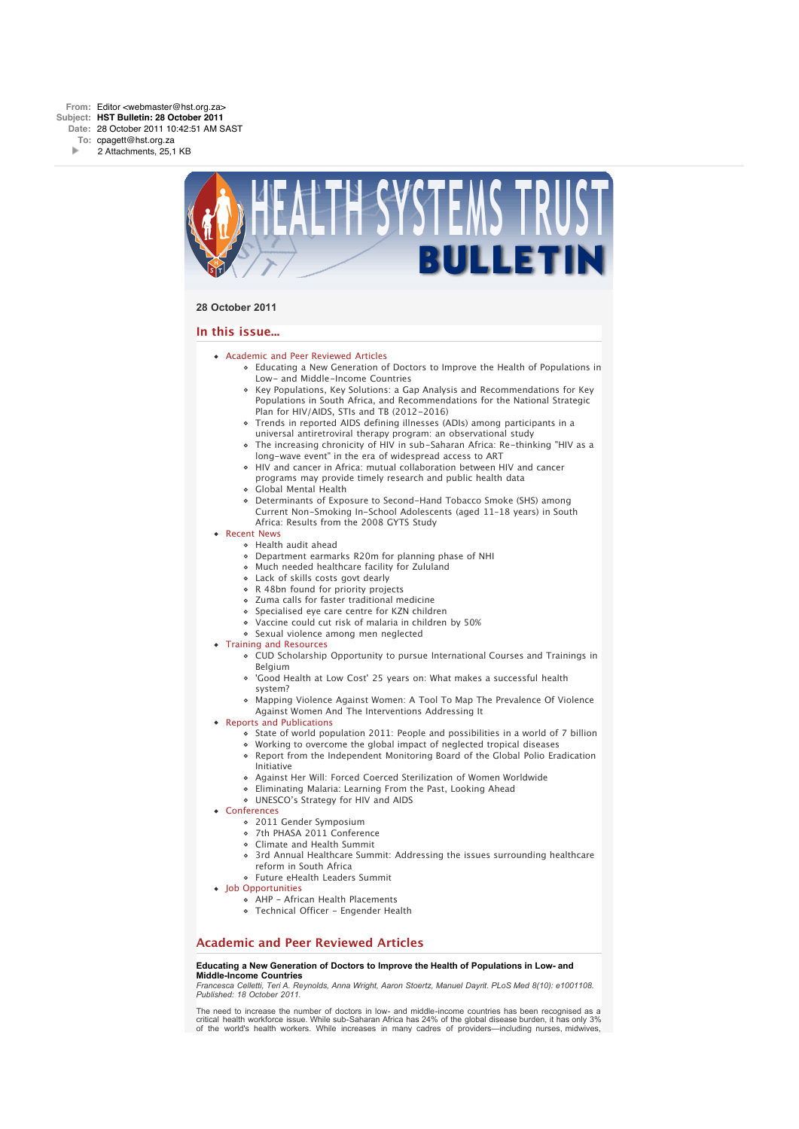

### **28 October 2011**

### **In this issue...**

- [Academic and Peer Reviewed Articles](x-msg://22/#Academic)
	- [Educating a New Generation of Doctors to Improve the Health of Populations in](x-msg://22/#A_0) Low- and Middle-Income Countries
	- [Key Populations, Key Solutions: a Gap Analysis and Recommendations for Key](x-msg://22/#A_2) Populations in South Africa, and Recommendations for the National Strategic Plan for HIV/AIDS, STIs and TB (2012-2016)
	- [Trends in reported AIDS defining illnesses \(ADIs\) among participants in a](x-msg://22/#A_11) universal antiretroviral therapy program: an observational study
	- [The increasing chronicity of HIV in sub-Saharan Africa: Re-thinking "HIV as a](x-msg://22/#A_15) long-wave event" in the era of widespread access to ART
	- [HIV and cancer in Africa: mutual collaboration between HIV and cancer](x-msg://22/#A_6) programs may provide timely research and public health data
	- [Global Mental Health](x-msg://22/#A_10)
	- Determinants of Exposure to Second-Hand Tobacco Smoke (SHS) among [Current Non-Smoking In-School Adolescents \(aged 11–18 years\) in South](x-msg://22/#A_13) Africa: Results from the 2008 GYTS Study
- [Recent News](x-msg://22/#recent)
	- [Health audit ahead](x-msg://22/#N_1)
	- [Department earmarks R20m for planning phase of NHI](x-msg://22/#N_2)
	- [Much needed healthcare facility for Zululand](x-msg://22/#N_4)
	- [Lack of skills costs govt dearly](x-msg://22/#N_5)
	- [R 48bn found for priority projects](x-msg://22/#N_6)
	- [Zuma calls for faster traditional medicine](x-msg://22/#N_7)
	- [Specialised eye care centre for KZN children](x-msg://22/#N_8)
	- [Vaccine could cut risk of malaria in children by 50%](x-msg://22/#N_9)
	- [Sexual violence among men neglected](x-msg://22/#N_11)
- [Training and Resources](x-msg://22/#train)
	- [CUD Scholarship Opportunity to pursue International Courses and Trainings in](x-msg://22/#T_3) Belgium
	- ['Good Health at Low Cost' 25 years on: What makes a successful health](x-msg://22/#T_1) system?
	- [Mapping Violence Against Women: A Tool To Map The Prevalence Of Violence](x-msg://22/#T_2) Against Women And The Interventions Addressing It
- [Reports and Publications](x-msg://22/#publications)
	- State of world population 2011: People and possibilities in a world of 7 billion
	- Working to overcome the global impact of neglected tropical diseases
	- Report from the Independent Monitoring Board of the Global Polio Eradication Initiative
	- Against Her Will: Forced Coerced Sterilization of Women Worldwide
	- [Eliminating Malaria: Learning From the Past, Looking Ahead](x-msg://22/#P_1)
	- [UNESCO's Strategy for HIV and AIDS](x-msg://22/#P_3)
- [Conferences](x-msg://22/#conferences)
	- [2011 Gender Symposium](x-msg://22/#C_1)
	- [7th PHASA 2011 Conference](x-msg://22/#C_3)
	- [Climate and Health Summit](x-msg://22/#C_0)
	- [3rd Annual Healthcare Summit: Addressing the issues surrounding healthcare](x-msg://22/#C_2) reform in South Africa
	- [Future eHealth Leaders Summit](x-msg://22/#C_4)
- [Job Opportunities](x-msg://22/#jobs)
	- [AHP African Health Placements](x-msg://22/#J_0)
	- Technical Officer Engender Health

# **Academic and Peer Reviewed Articles**

#### **Educating a New Generation of Doctors to Improve the Health of Populations in Low- and Middle-Income Countries**

*Francesca Celletti, Teri A. Reynolds, Anna Wright, Aaron Stoertz, Manuel Dayrit. PLoS Med 8(10): e1001108. Published: 18 October 2011.*

*The need to increase the number of doctors in low- and middle-income countries has been recognised as a critical health workforce issue. While sub-Saharan Africa has 24% of the global disease burden, it has only 3% of the world's health workers. While increases in many cadres of providers—including nurses, midwives,*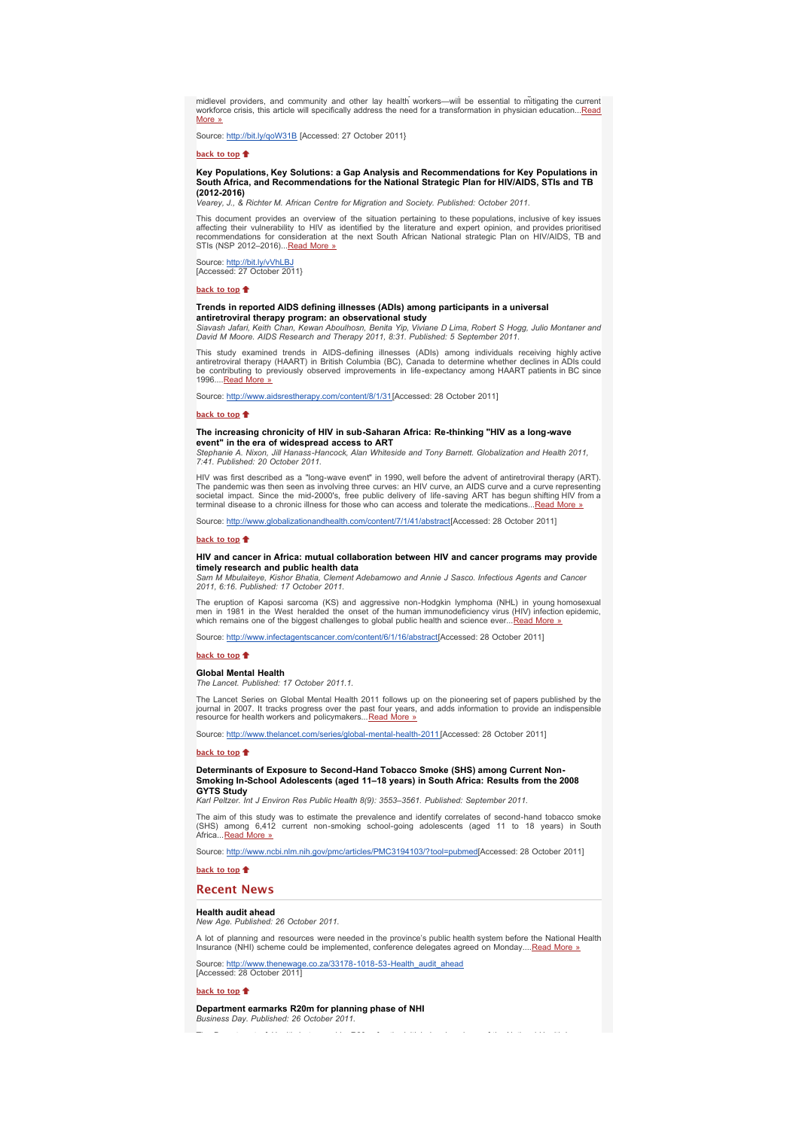*of the world's health workers. While increases in many cadres of providers—including nurses, midwives, midlevel providers, and community and other lay health workers—will be essential to mitigating the current [workforce crisis, this article will specifically address the need for a transformation in physician education...Read](http://bulletin.hst.org.za//lt.php?id=K09XDlJQUQcBSlBRBEUHC1NR) More »*

*Source: [http://bit.ly/qoW31B](http://bulletin.hst.org.za//lt.php?id=K09XDlJQUQcBSlBRBEUHC1NR) [Accessed: 27 October 2011}*

### **[back to top](x-msg://22/#top)**

#### **Key Populations, Key Solutions: a Gap Analysis and Recommendations for Key Populations in South Africa, and Recommendations for the National Strategic Plan for HIV/AIDS, STIs and TB (2012-2016)**

*Vearey, J., & Richter M. African Centre for Migration and Society. Published: October 2011.*

*This document provides an overview of the situation pertaining to these populations, inclusive of key issues* affecting their vulnerability to HIV as identified by the literature and expert opinion, and provides prioritised<br>recommendations for consideration at the next South African National strategic Plan on HIV/AIDS, TB and *STIs (NSP 2012*–*2016)...[Read More »](http://bulletin.hst.org.za//lt.php?id=K09XDlJQUQcASlBRBEUHC1NR)*

*Source: [http://bit.ly/vVhLBJ](http://bulletin.hst.org.za//lt.php?id=K09XDlJQUQcASlBRBEUHC1NR) [Accessed: 27 October 2011}*

#### **[back to top](x-msg://22/#top)**

# **Trends in reported AIDS defining illnesses (ADIs) among participants in a universal**

**antiretroviral therapy program: an observational study**<br>Siavash Jafari, Keith Chan, Kewan Aboulhosn, Benita Yip, Viviane D Lima, Robert S Hogg, Julio Montaner and<br>David M Moore. AIDS Research and Therapy 2011, 8:31. Publi

*This study examined trends in AIDS-defining illnesses (ADIs) among individuals receiving highly active antiretroviral therapy (HAART) in British Columbia (BC), Canada to determine whether declines in ADIs could be contributing to previously observed improvements in life-expectancy among HAART patients in BC since 1996....[Read More »](http://bulletin.hst.org.za//lt.php?id=K09XDlJQUQcPSlBRBEUHC1NR)*

*Source: [http://www.aidsrestherapy.com/content/8/1/31](http://bulletin.hst.org.za//lt.php?id=K09XDlJQUQcPSlBRBEUHC1NR)[Accessed: 28 October 2011]*

#### **[back to top](x-msg://22/#top)**

#### **The increasing chronicity of HIV in sub-Saharan Africa: Re-thinking "HIV as a long-wave event" in the era of widespread access to ART**

*Stephanie A. Nixon, Jill Hanass-Hancock, Alan Whiteside and Tony Barnett. Globalization and Health 2011, 7:41. Published: 20 October 2011.*

HIV was first described as a "long-wave event" in 1990, well before the advent of antiretroviral therapy (ART).<br>The pandemic was then seen as involving three curves: an HIV curve, an AIDS curve and a curve representing<br>soc

*Source: [http://www.globalizationandhealth.com/content/7/1/41/abstract](http://bulletin.hst.org.za//lt.php?id=K09XDlJQUQcOSlBRBEUHC1NR)[Accessed: 28 October 2011]*

### **[back to top](x-msg://22/#top)**<sup> $\textcolor{red}{\bullet}$ </sup>

### **HIV and cancer in Africa: mutual collaboration between HIV and cancer programs may provide timely research and public health data**

*Sam M Mbulaiteye, Kishor Bhatia, Clement Adebamowo and Annie J Sasco. Infectious Agents and Cancer 2011, 6:16. Published: 17 October 2011.*

*The eruption of Kaposi sarcoma (KS) and aggressive non-Hodgkin lymphoma (NHL) in young homosexual men in 1981 in the West heralded the onset of the human immunodeficiency virus (HIV) infection epidemic, which remains one of the biggest challenges to global public health and science ever...[Read More »](http://bulletin.hst.org.za//lt.php?id=K09XDlJQUQQHSlBRBEUHC1NR)*

*Source: [http://www.infectagentscancer.com/content/6/1/16/abstract\[](http://bulletin.hst.org.za//lt.php?id=K09XDlJQUQQHSlBRBEUHC1NR)Accessed: 28 October 2011]*

#### **[back to top](x-msg://22/#top)**

### **Global Mental Health**

*The Lancet. Published: 17 October 2011.1.*

The Lancet Series on Global Mental Health 2011 follows up on the pioneering set of papers published by the<br>journal in 2007. It tracks progress over the past four years, and adds information to provide an indispensible *resource for health workers and policymakers...[Read More »](http://bulletin.hst.org.za//lt.php?id=K09XDlJQUQQGSlBRBEUHC1NR)*

*Source: [http://www.thelancet.com/series/global-mental-health-2011](http://bulletin.hst.org.za//lt.php?id=K09XDlJQUQQGSlBRBEUHC1NR) [Accessed: 28 October 2011]*

#### **[back to top](x-msg://22/#top)**

**Determinants of Exposure to Second-Hand Tobacco Smoke (SHS) among Current Non-Smoking In-School Adolescents (aged 11–18 years) in South Africa: Results from the 2008 GYTS Study**<br>Karl Peltzer II

*Karl Peltzer. Int J Environ Res Public Health 8(9): 3553–3561. Published: September 2011.*

The aim of this study was to estimate the prevalence and identify correlates of second-hand tobacco smoke<br>(SHS) among 6,412 current non-smoking school-going adolescents (aged 11 to 18 years) in South<br>Africa...<u>Rea</u>

*Source: [http://www.ncbi.nlm.nih.gov/pmc/articles/PMC3194103/?tool=pubmed](http://bulletin.hst.org.za//lt.php?id=K09XDlJQUQQFSlBRBEUHC1NR)[Accessed: 28 October 2011]*

### **[back to top](x-msg://22/#top)**

### **Recent News**

### **Health audit ahead**

*New Age. Published: 26 October 2011.*

*A lot of planning and resources were needed in the province's public health system before the National Health Insurance (NHI) scheme could be implemented, conference delegates agreed on Monday....[Read More »](http://bulletin.hst.org.za//lt.php?id=K09XDlJQUQABSlBRBEUHC1NR)*

*Source: [http://www.thenewage.co.za/33178-1018-53-Health\\_audit\\_ahead](http://bulletin.hst.org.za//lt.php?id=K09XDlJQUQAASlBRBEUHC1NR) [Accessed: 28 October 2011]*

**[back to top](x-msg://22/#top)**

**Department earmarks R20m for planning phase of NHI** *Business Day. Published: 26 October 2011.*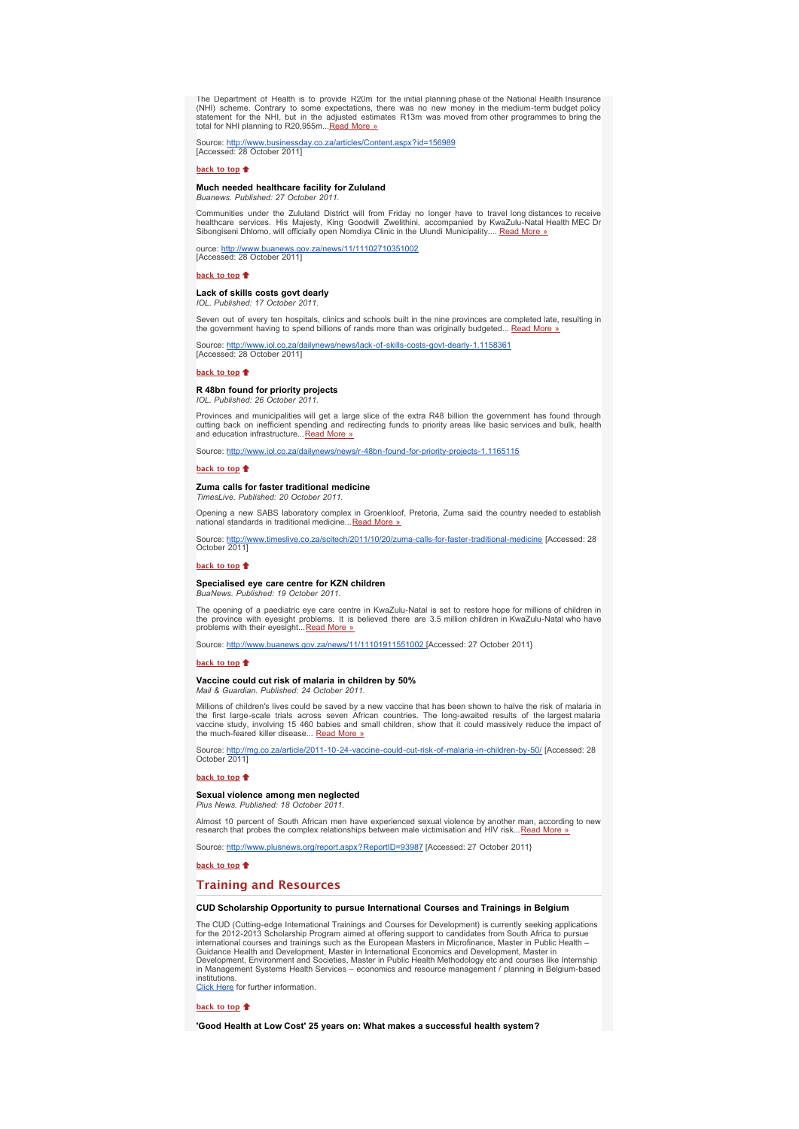The Department of Health is to provide R20m for the initial planning phase of the National Health Insurance<br>(NHI) scheme. Contrary to some expectations, there was no new money in the medium-term budget policy<br>statement for *total for NHI planning to R20,955m...[Read More »](http://bulletin.hst.org.za//lt.php?id=K09XDlJQUQQESlBRBEUHC1NR)*

*Source: [http://www.businessday.co.za/articles/Content.aspx?id=156989](http://bulletin.hst.org.za//lt.php?id=K09XDlJQUQQDSlBRBEUHC1NR) [Accessed: 28 October 2011]*

#### **[back to top](x-msg://22/#top)**

**Much needed healthcare facility for Zululand** *Buanews. Published: 27 October 2011.*

Communities under the Zululand District will from Friday no longer have to travel long distances to receive<br>healthcare services. His Majesty, King Goodwill Zwelithini, accompanied by KwaZulu-Natal Health MEC Dr<br>Sibongiseni

*ource: [http://www.buanews.gov.za/news/11/11102710351002](http://bulletin.hst.org.za//lt.php?id=K09XDlJQUQAOSlBRBEUHC1NR) [Accessed: 28 October 2011]*

#### **[back to top](x-msg://22/#top)**

# **Lack of skills costs govt dearly**

*IOL. Published: 17 October 2011.*

*Seven out of every ten hospitals, clinics and schools built in the nine provinces are completed late, resulting in the government having to spend billions of rands more than was originally budgeted... [Read More »](http://bulletin.hst.org.za//lt.php?id=K09XDlJQUQQASlBRBEUHC1NR)*

za/dailynews/news/lack-of-skills-costs-govt-dearly-1.1158361 Source: http://www.iol.co.za/da<br>[Accessed: 28 October 2011]

#### **[back to top](x-msg://22/#top)**

### **R 48bn found for priority projects**

*IOL. Published: 26 October 2011.*

Provinces and municipalities will get a large slice of the extra R48 billion the government has found through<br>cutting back on inefficient spending and redirecting funds to priority areas like basic services and bulk, healt *and education infrastructure..[.Read More »](http://bulletin.hst.org.za//lt.php?id=K09XDlJQUQEHSlBRBEUHC1NR)*

*Source: [http://www.iol.co.za/dailynews/news/r-48bn-found-for-priority-projects-1.1165115](http://bulletin.hst.org.za//lt.php?id=K09XDlJQUQEGSlBRBEUHC1NR)*

**[back to top](x-msg://22/#top)**

#### **Zuma calls for faster traditional medicine**

*TimesLive. Published: 20 October 2011.*

*Opening a new SABS laboratory complex in Groenkloof, Pretoria, Zuma said the country needed to establish national standards in traditional medicine...[Read More »](http://bulletin.hst.org.za//lt.php?id=K09XDlJQUQUGSlBRBEUHC1NR)*

*Source: [http://www.timeslive.co.za/scitech/2011/10/20/zuma-calls-for-faster-traditional-medicine](http://bulletin.hst.org.za//lt.php?id=K09XDlJQUQUFSlBRBEUHC1NR) [Accessed: 28 October 2011]*

#### **[back to top](x-msg://22/#top)**

#### **Specialised eye care centre for KZN children**

*BuaNews. Published: 19 October 2011.*

*The opening of a paediatric eye care centre in KwaZulu-Natal is set to restore hope for millions of children in the province with eyesight problems. It is believed there are 3.5 million children in KwaZulu-Natal who have problems with their eyesight...[Read More »](http://bulletin.hst.org.za//lt.php?id=K09XDlJQUQUESlBRBEUHC1NR)*

*Source: [http://www.buanews.gov.za/news/11/11101911551002 \[](http://bulletin.hst.org.za//lt.php?id=K09XDlJQUQUDSlBRBEUHC1NR)Accessed: 27 October 2011}*

#### **[back to top](x-msg://22/#top)**

#### **Vaccine could cut risk of malaria in children by 50%** *Mail & Guardian. Published: 24 October 2011.*

Millions of children's lives could be saved by a new vaccine that has been shown to halve the risk of malaria in<br>the first large-scale trials across seven African countries. The long-awaited results of the largest malaria<br>

*Source: [http://mg.co.za/article/2011-10-24-vaccine-could-cut-risk-of-malaria-in-children-by-50/](http://bulletin.hst.org.za//lt.php?id=K09XDlJQUQUBSlBRBEUHC1NR) [Accessed: 28 October 2011]*

#### **[back to top](x-msg://22/#top)**

# **Sexual violence among men neglected** *Plus News. Published: 18 October 2011.*

*Almost 10 percent of South African men have experienced sexual violence by another man, according to new research that probes the complex relationships between male victimisation and HIV risk..[.Read More »](http://bulletin.hst.org.za//lt.php?id=K09XDlJQUQUOSlBRBEUHC1NR)*

*Source: [http://www.plusnews.org/report.aspx?ReportID=93987](http://bulletin.hst.org.za//lt.php?id=K09XDlJQUQIHSlBRBEUHC1NR) [Accessed: 27 October 2011}*

**[back to top](x-msg://22/#top)**

### **Training and Resources**

#### **CUD Scholarship Opportunity to pursue International Courses and Trainings in Belgium**

*The CUD (Cutting-edge International Trainings and Courses for Development) is currently seeking applications* for the 2012-2013 Scholarship Program aimed at offering support to candidates from South Africa to pursue<br>international courses and trainings such as the European Masters in Microfinance, Master in Public Health –<br>Guidance *in Management Systems Health Services* – *economics and resource management / planning in Belgium-based institutions. [Click Here](http://bulletin.hst.org.za//lt.php?id=K09XDlJQUQIGSlBRBEUHC1NR) for further information.*

**[back to top](x-msg://22/#top)**

**'Good Health at Low Cost' 25 years on: What makes a successful health system?**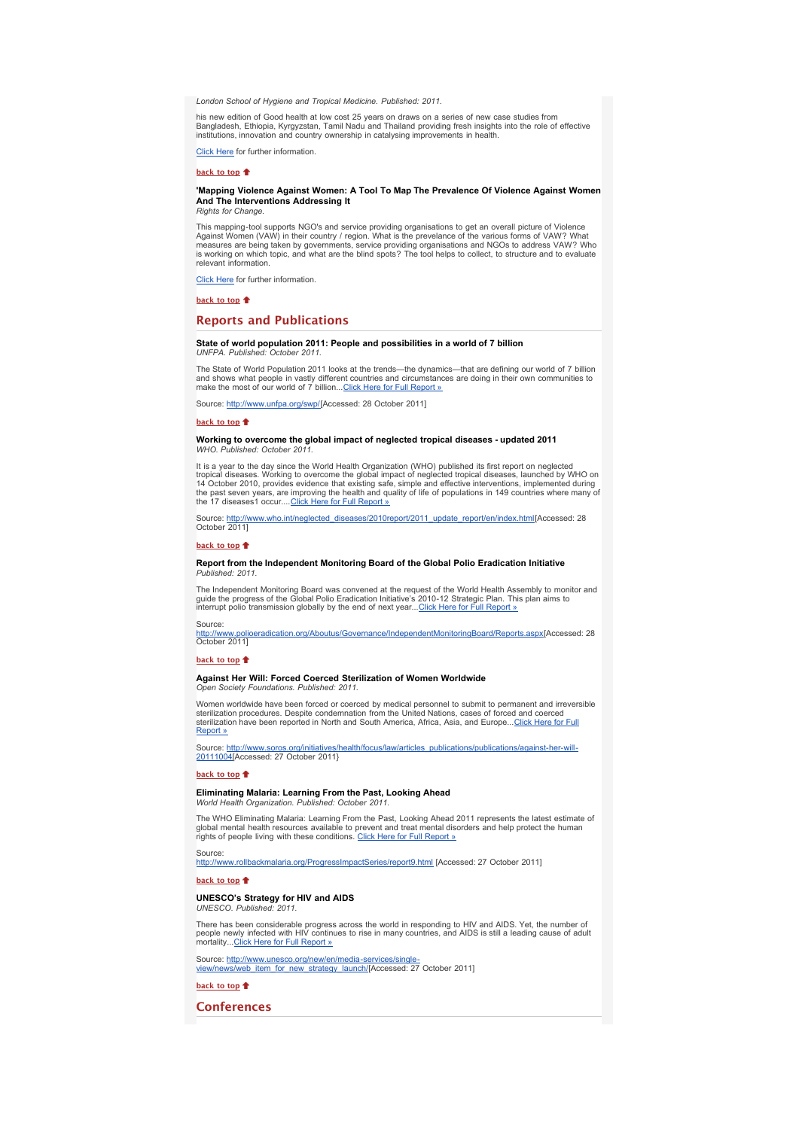*London School of Hygiene and Tropical Medicine. Published: 2011.*

his new edition of Good health at low cost 25 years on draws on a series of new case studies from<br>Bangladesh, Ethiopia, Kyrgyzstan, Tamil Nadu and Thailand providing fresh insights into the role of effective<br>institutions,

*[Click Here](http://bulletin.hst.org.za//lt.php?id=K09XDlJQUQIFSlBRBEUHC1NR) for further information.*

**[back to top](x-msg://22/#top)**  $\triangleq$ 

#### **'Mapping Violence Against Women: A Tool To Map The Prevalence Of Violence Against Women And The Interventions Addressing It** *Rights for Change.*

This mapping-tool supports NGO's and service providing organisations to get an overall picture of Violence<br>Against Women (VAW) in their country / region. What is the prevelance of the various forms of VAW? What<br>measures ar *is working on which topic, and what are the blind spots? The tool helps to collect, to structure and to evaluate relevant information.*

*[Click Here](http://bulletin.hst.org.za//lt.php?id=K09XDlJQUQIESlBRBEUHC1NR) for further information.*

**[back to top](x-msg://22/#top)**

## **Reports and Publications**

#### **State of world population 2011: People and possibilities in a world of 7 billion** *LINEPA Published: October 2011*. *UNFPA. Publish*

The State of World Population 2011 looks at the trends—the dynamics—that are defining our world of 7 billion<br>and shows what people in vastly different countries and circumstances are doing in their own communities to *make the most of our world of 7 billion...[Click Here for Full Report »](http://bulletin.hst.org.za//lt.php?id=K09XDlJQUQEFSlBRBEUHC1NR)*

*Source: [http://www.unfpa.org/swp/\[](http://bulletin.hst.org.za//lt.php?id=K09XDlJQUQEESlBRBEUHC1NR)Accessed: 28 October 2011]*

#### **[back to top](x-msg://22/#top)**

**Working to overcome the global impact of neglected tropical diseases - updated 2011** *WHO. Published: October 2011.*

*It is a year to the day since the World Health Organization (WHO) published its first report on neglected* tropical diseases. Working to overcome the global impact of neglected tropical diseases, launched by WHO on<br>14 October 2010, provides evidence that existing safe, simple and effective interventions, implemented during<br>the

*Source: [http://www.who.int/neglected\\_diseases/2010report/2011\\_update\\_report/en/index.html\[](http://bulletin.hst.org.za//lt.php?id=K09XDlJQUQECSlBRBEUHC1NR)Accessed: 28 October 2011]*

#### **[back to top](x-msg://22/#top)**

#### **Report from the Independent Monitoring Board of the Global Polio Eradication Initiative** *Published: 2011.*

The Independent Monitoring Board was convened at the request of the World Health Assembly to monitor and<br>guide the progress of the Global Polio Eradication Initiative's 2010-12 Strategic Plan. This plan aims to<br>interrupt p

### *Source:*

*[http://www.polioeradication.org/Aboutus/Governance/IndependentMonitoringBoard/Reports.aspx\[](http://bulletin.hst.org.za//lt.php?id=K09XDlJQUQICSlBRBEUHC1NR)Accessed: 28 October 2011]*

#### **[back to top](x-msg://22/#top)**

### **Against Her Will: Forced Coerced Sterilization of Women Worldwide**

*Open Society Foundations. Published: 2011.*

*Women worldwide have been forced or coerced by medical personnel to submit to permanent and irreversible sterilization procedures. Despite condemnation from the United Nations, cases of forced and coerced [sterilization have been reported in North and South America, Africa, Asia, and Europe...Click Here for Full](http://bulletin.hst.org.za//lt.php?id=K09XDlJQUQIBSlBRBEUHC1NR) Report »*

*[Source: http://www.soros.org/initiatives/health/focus/law/articles\\_publications/publications/against-her-will-](http://bulletin.hst.org.za//lt.php?id=K09XDlJQUQIASlBRBEUHC1NR)20111004[Accessed: 27 October 2011}*

#### **[back to top](x-msg://22/#top)**

### **Eliminating Malaria: Learning From the Past, Looking Ahead**

*World Health Organization. Published: October 2011.*

The WHO Eliminating Malaria: Learning From the Past, Looking Ahead 2011 represents the latest estimate of<br>global mental health resources available to prevent and treat mental disorders and help protect the human<br>rights of

*Source:* 

*[http://www.rollbackmalaria.org/ProgressImpactSeries/report9.html](http://bulletin.hst.org.za//lt.php?id=K09XDlJQUQIOSlBRBEUHC1NR) [Accessed: 27 October 2011]*

### **[back to top](x-msg://22/#top)**

#### **UNESCO's Strategy for HIV and AIDS** *UNESCO. Published: 2011.*

There has been considerable progress across the world in responding to HIV and AIDS. Yet, the number of<br>people newly infected with HIV continues to rise in many countries, and AIDS is still a leading cause of adult *mortality..[.Click Here for Full Report »](http://bulletin.hst.org.za//lt.php?id=K09XDlJQUQMHSlBRBEUHC1NR)*

*[Source: http://www.unesco.org/new/en/media-services/single](http://bulletin.hst.org.za//lt.php?id=K09XDlJQUQMGSlBRBEUHC1NR)*view/news/web\_item\_for\_new\_strategy\_launch/[Accessed: 27 October 2011]

**[back to top](x-msg://22/#top)**

**Conferences**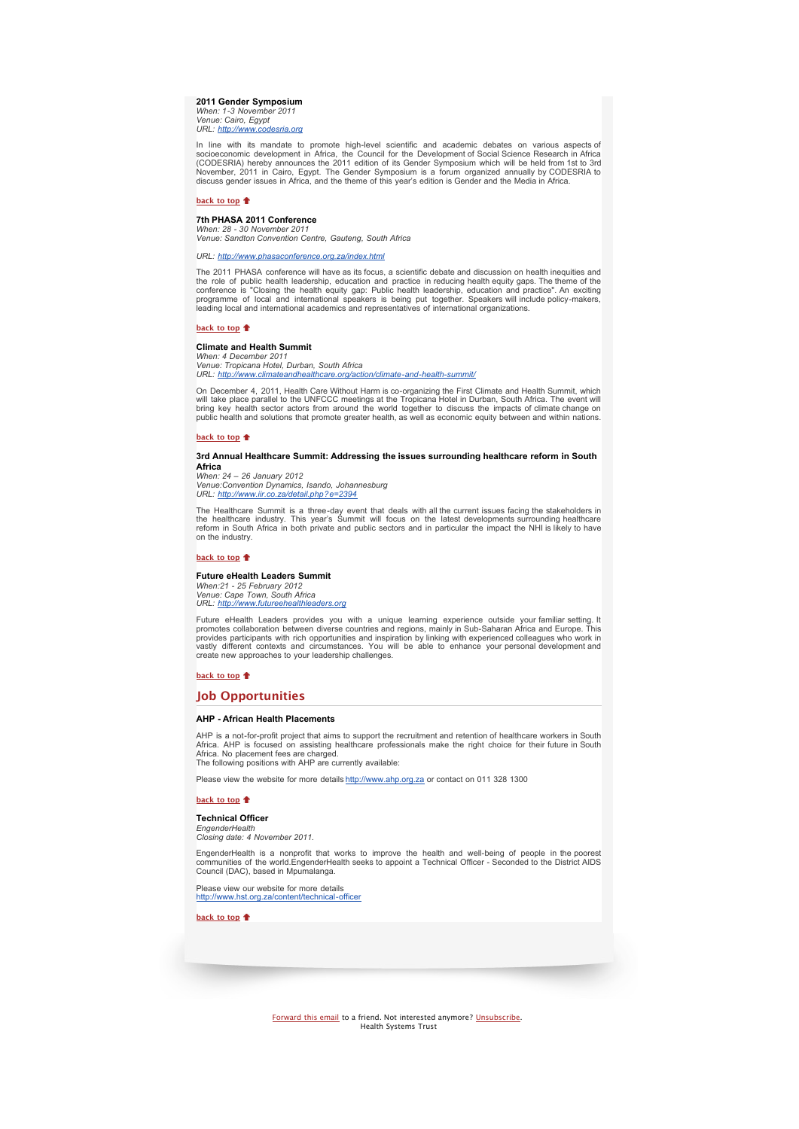## **2011 Gender Symposium**

*When: 1-3 November 2011 Venue: Cairo, Egypt URL: [http://www.codesria.org](http://bulletin.hst.org.za//lt.php?id=K09XDlJQUQMFSlBRBEUHC1NR)*

In line with its mandate to promote high-level scientific and academic debates on various aspects of<br>socioeconomic development in Africa, the Council for the Development of Social Science Research in Africa<br>(CODESRIA) here

### **[back to top](x-msg://22/#top)**

### **7th PHASA 2011 Conference**

*When: 28 - 30 November 2011 Venue: Sandton Convention Centre, Gauteng, South Africa*

#### *URL: [http://www.phasaconference.org.za/index.html](http://bulletin.hst.org.za//lt.php?id=K09XDlJQUQMESlBRBEUHC1NR)*

*The 2011 PHASA conference will have as its focus, a scientific debate and discussion on health inequities and* the role of public health leadership, education and practice in reducing health equity gaps. The theme of the<br>conference is "Closing the health equity gap: Public health leadership, education and practice". An exciting<br>pro

#### **[back to top](x-msg://22/#top)**

#### **Climate and Health Summit**

*When: 4 December 2011 Venue: Tropicana Hotel, Durban, South Africa URL: [http://www.climateandhealthcare.org/action/climate-and-health-summit/](http://bulletin.hst.org.za//lt.php?id=K09XDlJQUQMDSlBRBEUHC1NR)*

On December 4, 2011, Health Care Without Harm is co-organizing the First Climate and Health Summit, which<br>will take place parallel to the UNFCCC meetings at the Tropicana Hotel in Durban, South Africa. The event will bring key health sector actors from around the world together to discuss the impacts of climate change on<br>public health and solutions that promote greater health, as well as economic equity between and within nations.

### **[back to top](x-msg://22/#top)**

### **3rd Annual Healthcare Summit: Addressing the issues surrounding healthcare reform in South Africa**

*When: 24 – 26 January 2012 Venue:Convention Dynamics, Isando, Johannesburg URL: [http://www.iir.co.za/detail.php?e=2394](http://bulletin.hst.org.za//lt.php?id=K09XDlJQUQMCSlBRBEUHC1NR)*

The Healthcare Summit is a three-day event that deals with all the current issues facing the stakeholders in<br>the healthcare industry. This year's Summit will focus on the latest developments surrounding healthcare<br>reform i *on the industry.*

### **[back to top](x-msg://22/#top)**

### **Future eHealth Leaders Summit** *When:21 - 25 February 2012 Venue: Cape Town, South Africa URL: [http://www.futureehealthleaders.org](http://bulletin.hst.org.za//lt.php?id=K09XDlJQUQMBSlBRBEUHC1NR)*

Future eHealth Leaders provides you with a unique learning experience outside your familiar setting. It promotes collaboration between diverse countries and regions, mainly in Sub-Saharan Africa and Europe. This provides p

### **[back to top](x-msg://22/#top)**  $\triangle$

### **Job Opportunities**

#### **AHP - African Health Placements**

AHP is a not-for-profit project that aims to support the recruitment and retention of healthcare workers in South<br>Africa. AHP is focused on assisting healthcare professionals make the right choice for their future in South *The following positions with AHP are currently available:*

*Please view the website for more details [http://www.ahp.org.za](http://bulletin.hst.org.za//lt.php?id=K09XDlJQUQMASlBRBEUHC1NR) or contact on 011 328 1300*

#### **[back to top](x-msg://22/#top)**

#### **Technical Officer**

*EngenderHealth Closing date: 4 November 2011.*

EngenderHealth is a nonprofit that works to improve the health and well-being of people in the pooresl<br>communities of the world.EngenderHealth seeks to appoint a Technical Officer - Seconded to the District AIDS<br>Council (D

*Please view our website for more details [http://www.hst.org.za/content/technical-officer](http://bulletin.hst.org.za//lt.php?id=K09XDlJQUQMPSlBRBEUHC1NR)*

**[back to top](x-msg://22/#top)**